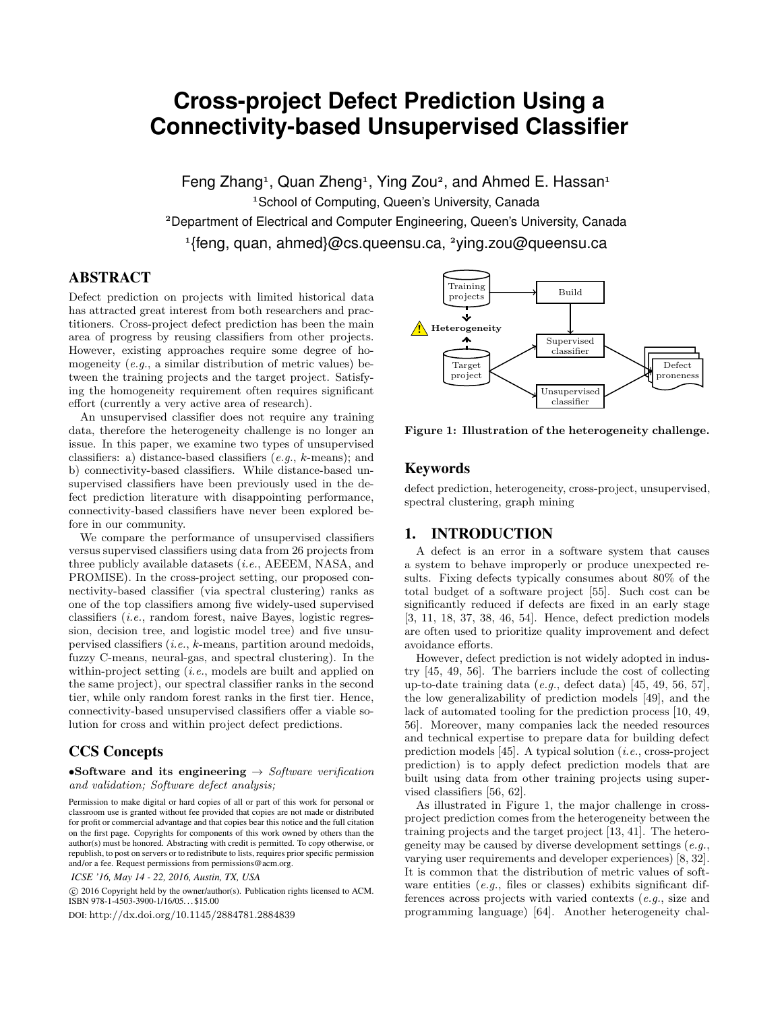# **Cross-project Defect Prediction Using a Connectivity-based Unsupervised Classifier**

Feng Zhang<sup>1</sup>, Quan Zheng<sup>1</sup>, Ying Zou<sup>2</sup>, and Ahmed E. Hassan<sup>1</sup> <sup>1</sup>School of Computing, Queen's University, Canada <sup>2</sup>Department of Electrical and Computer Engineering, Queen's University, Canada 1 {feng, quan, ahmed}@cs.queensu.ca, <sup>2</sup>ying.zou@queensu.ca

# ABSTRACT

Defect prediction on projects with limited historical data has attracted great interest from both researchers and practitioners. Cross-project defect prediction has been the main area of progress by reusing classifiers from other projects. However, existing approaches require some degree of homogeneity  $(e,q, a)$  similar distribution of metric values) between the training projects and the target project. Satisfying the homogeneity requirement often requires significant effort (currently a very active area of research).

An unsupervised classifier does not require any training data, therefore the heterogeneity challenge is no longer an issue. In this paper, we examine two types of unsupervised classifiers: a) distance-based classifiers (e.g., k-means); and b) connectivity-based classifiers. While distance-based unsupervised classifiers have been previously used in the defect prediction literature with disappointing performance, connectivity-based classifiers have never been explored before in our community.

We compare the performance of unsupervised classifiers versus supervised classifiers using data from 26 projects from three publicly available datasets (i.e., AEEEM, NASA, and PROMISE). In the cross-project setting, our proposed connectivity-based classifier (via spectral clustering) ranks as one of the top classifiers among five widely-used supervised classifiers (i.e., random forest, naive Bayes, logistic regression, decision tree, and logistic model tree) and five unsupervised classifiers (i.e., k-means, partition around medoids, fuzzy C-means, neural-gas, and spectral clustering). In the within-project setting *(i.e., models are built and applied on* the same project), our spectral classifier ranks in the second tier, while only random forest ranks in the first tier. Hence, connectivity-based unsupervised classifiers offer a viable solution for cross and within project defect predictions.

# CCS Concepts

•Software and its engineering  $\rightarrow$  Software verification and validation; Software defect analysis;

Permission to make digital or hard copies of all or part of this work for personal or classroom use is granted without fee provided that copies are not made or distributed for profit or commercial advantage and that copies bear this notice and the full citation on the first page. Copyrights for components of this work owned by others than the author(s) must be honored. Abstracting with credit is permitted. To copy otherwise, or republish, to post on servers or to redistribute to lists, requires prior specific permission and/or a fee. Request permissions from permissions@acm.org.

*ICSE '16, May 14 - 22, 2016, Austin, TX, USA*

 c 2016 Copyright held by the owner/author(s). Publication rights licensed to ACM. ISBN 978-1-4503-3900-1/16/05. . . \$15.00

DOI: http://dx.doi.org/10.1145/2884781.2884839



Figure 1: Illustration of the heterogeneity challenge.

## Keywords

defect prediction, heterogeneity, cross-project, unsupervised, spectral clustering, graph mining

# 1. INTRODUCTION

A defect is an error in a software system that causes a system to behave improperly or produce unexpected results. Fixing defects typically consumes about 80% of the total budget of a software project [55]. Such cost can be significantly reduced if defects are fixed in an early stage [3, 11, 18, 37, 38, 46, 54]. Hence, defect prediction models are often used to prioritize quality improvement and defect avoidance efforts.

However, defect prediction is not widely adopted in industry [45, 49, 56]. The barriers include the cost of collecting up-to-date training data  $(e.g.,$  defect data) [45, 49, 56, 57], the low generalizability of prediction models [49], and the lack of automated tooling for the prediction process [10, 49, 56]. Moreover, many companies lack the needed resources and technical expertise to prepare data for building defect prediction models [45]. A typical solution  $(i.e., cross-project$ prediction) is to apply defect prediction models that are built using data from other training projects using supervised classifiers [56, 62].

As illustrated in Figure 1, the major challenge in crossproject prediction comes from the heterogeneity between the training projects and the target project [13, 41]. The heterogeneity may be caused by diverse development settings  $(e.g.,)$ varying user requirements and developer experiences) [8, 32]. It is common that the distribution of metric values of software entities (e.g., files or classes) exhibits significant differences across projects with varied contexts (e.g., size and programming language) [64]. Another heterogeneity chal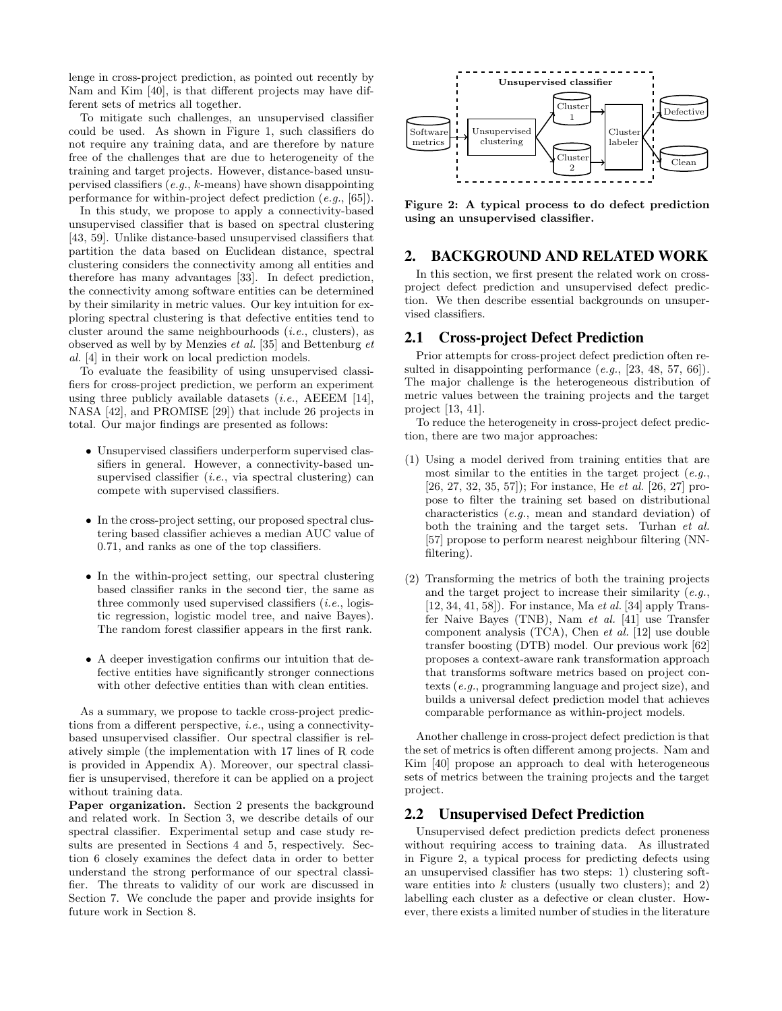lenge in cross-project prediction, as pointed out recently by Nam and Kim [40], is that different projects may have different sets of metrics all together.

To mitigate such challenges, an unsupervised classifier could be used. As shown in Figure 1, such classifiers do not require any training data, and are therefore by nature free of the challenges that are due to heterogeneity of the training and target projects. However, distance-based unsupervised classifiers (e.g., k-means) have shown disappointing performance for within-project defect prediction (e.g., [65]).

In this study, we propose to apply a connectivity-based unsupervised classifier that is based on spectral clustering [43, 59]. Unlike distance-based unsupervised classifiers that partition the data based on Euclidean distance, spectral clustering considers the connectivity among all entities and therefore has many advantages [33]. In defect prediction, the connectivity among software entities can be determined by their similarity in metric values. Our key intuition for exploring spectral clustering is that defective entities tend to cluster around the same neighbourhoods  $(i.e.,$  clusters), as observed as well by by Menzies et al. [35] and Bettenburg et al. [4] in their work on local prediction models.

To evaluate the feasibility of using unsupervised classifiers for cross-project prediction, we perform an experiment using three publicly available datasets  $(i.e., AEEEM [14],$ NASA [42], and PROMISE [29]) that include 26 projects in total. Our major findings are presented as follows:

- Unsupervised classifiers underperform supervised classifiers in general. However, a connectivity-based unsupervised classifier  $(i.e., via spectral clustering)$  can compete with supervised classifiers.
- In the cross-project setting, our proposed spectral clustering based classifier achieves a median AUC value of 0.71, and ranks as one of the top classifiers.
- In the within-project setting, our spectral clustering based classifier ranks in the second tier, the same as three commonly used supervised classifiers (i.e., logistic regression, logistic model tree, and naive Bayes). The random forest classifier appears in the first rank.
- A deeper investigation confirms our intuition that defective entities have significantly stronger connections with other defective entities than with clean entities.

As a summary, we propose to tackle cross-project predictions from a different perspective, i.e., using a connectivitybased unsupervised classifier. Our spectral classifier is relatively simple (the implementation with 17 lines of R code is provided in Appendix A). Moreover, our spectral classifier is unsupervised, therefore it can be applied on a project without training data.

Paper organization. Section 2 presents the background and related work. In Section 3, we describe details of our spectral classifier. Experimental setup and case study results are presented in Sections 4 and 5, respectively. Section 6 closely examines the defect data in order to better understand the strong performance of our spectral classifier. The threats to validity of our work are discussed in Section 7. We conclude the paper and provide insights for future work in Section 8.



Figure 2: A typical process to do defect prediction using an unsupervised classifier.

# 2. BACKGROUND AND RELATED WORK

In this section, we first present the related work on crossproject defect prediction and unsupervised defect prediction. We then describe essential backgrounds on unsupervised classifiers.

#### 2.1 Cross-project Defect Prediction

Prior attempts for cross-project defect prediction often resulted in disappointing performance  $(e.g., [23, 48, 57, 66]).$ The major challenge is the heterogeneous distribution of metric values between the training projects and the target project [13, 41].

To reduce the heterogeneity in cross-project defect prediction, there are two major approaches:

- (1) Using a model derived from training entities that are most similar to the entities in the target project  $(e.g.,$ [26, 27, 32, 35, 57]); For instance, He et al. [26, 27] propose to filter the training set based on distributional characteristics (e.g., mean and standard deviation) of both the training and the target sets. Turhan et al. [57] propose to perform nearest neighbour filtering (NNfiltering).
- (2) Transforming the metrics of both the training projects and the target project to increase their similarity (e.g.,  $[12, 34, 41, 58]$ . For instance, Ma *et al.* [34] apply Transfer Naive Bayes (TNB), Nam et al. [41] use Transfer component analysis (TCA), Chen et al. [12] use double transfer boosting (DTB) model. Our previous work [62] proposes a context-aware rank transformation approach that transforms software metrics based on project contexts (e.g., programming language and project size), and builds a universal defect prediction model that achieves comparable performance as within-project models.

Another challenge in cross-project defect prediction is that the set of metrics is often different among projects. Nam and Kim [40] propose an approach to deal with heterogeneous sets of metrics between the training projects and the target project.

# 2.2 Unsupervised Defect Prediction

Unsupervised defect prediction predicts defect proneness without requiring access to training data. As illustrated in Figure 2, a typical process for predicting defects using an unsupervised classifier has two steps: 1) clustering software entities into  $k$  clusters (usually two clusters); and 2) labelling each cluster as a defective or clean cluster. However, there exists a limited number of studies in the literature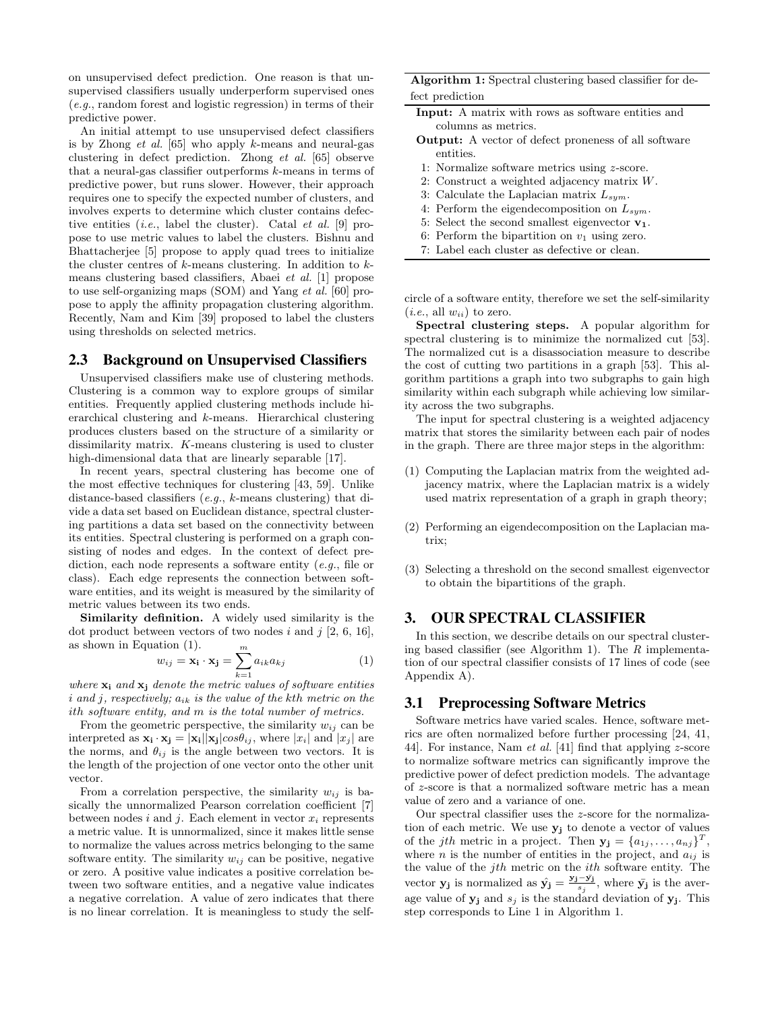on unsupervised defect prediction. One reason is that unsupervised classifiers usually underperform supervised ones (e.g., random forest and logistic regression) in terms of their predictive power.

An initial attempt to use unsupervised defect classifiers is by Zhong et al. [65] who apply k-means and neural-gas clustering in defect prediction. Zhong et al. [65] observe that a neural-gas classifier outperforms k-means in terms of predictive power, but runs slower. However, their approach requires one to specify the expected number of clusters, and involves experts to determine which cluster contains defective entities *(i.e.*, label the cluster). Catal *et al.* [9] propose to use metric values to label the clusters. Bishnu and Bhattacherjee [5] propose to apply quad trees to initialize the cluster centres of  $k$ -means clustering. In addition to  $k$ means clustering based classifiers, Abaei et al. [1] propose to use self-organizing maps (SOM) and Yang et al. [60] propose to apply the affinity propagation clustering algorithm. Recently, Nam and Kim [39] proposed to label the clusters using thresholds on selected metrics.

# 2.3 Background on Unsupervised Classifiers

Unsupervised classifiers make use of clustering methods. Clustering is a common way to explore groups of similar entities. Frequently applied clustering methods include hierarchical clustering and k-means. Hierarchical clustering produces clusters based on the structure of a similarity or dissimilarity matrix. K-means clustering is used to cluster high-dimensional data that are linearly separable [17].

In recent years, spectral clustering has become one of the most effective techniques for clustering [43, 59]. Unlike distance-based classifiers (e.g., k-means clustering) that divide a data set based on Euclidean distance, spectral clustering partitions a data set based on the connectivity between its entities. Spectral clustering is performed on a graph consisting of nodes and edges. In the context of defect prediction, each node represents a software entity (e.g., file or class). Each edge represents the connection between software entities, and its weight is measured by the similarity of metric values between its two ends.

Similarity definition. A widely used similarity is the dot product between vectors of two nodes i and j  $[2, 6, 16]$ , as shown in Equation (1).  $\overline{m}$ 

$$
w_{ij} = \mathbf{x_i} \cdot \mathbf{x_j} = \sum_{k=1}^{N} a_{ik} a_{kj}
$$
 (1)

where  $\mathbf{x}_i$  and  $\mathbf{x}_j$  denote the metric values of software entities i and j, respectively;  $a_{ik}$  is the value of the kth metric on the ith software entity, and m is the total number of metrics.

From the geometric perspective, the similarity  $w_{ij}$  can be interpreted as  $\mathbf{x_i} \cdot \mathbf{x_j} = |\mathbf{x_i}| |\mathbf{x_j}| \cos \theta_{ij}$ , where  $|x_i|$  and  $|x_j|$  are the norms, and  $\theta_{ij}$  is the angle between two vectors. It is the length of the projection of one vector onto the other unit vector.

From a correlation perspective, the similarity  $w_{ij}$  is basically the unnormalized Pearson correlation coefficient [7] between nodes i and j. Each element in vector  $x_i$  represents a metric value. It is unnormalized, since it makes little sense to normalize the values across metrics belonging to the same software entity. The similarity  $w_{ij}$  can be positive, negative or zero. A positive value indicates a positive correlation between two software entities, and a negative value indicates a negative correlation. A value of zero indicates that there is no linear correlation. It is meaningless to study the self-

| <b>Algorithm 1:</b> Spectral clustering based classifier for de- |  |  |  |
|------------------------------------------------------------------|--|--|--|
| fect prediction                                                  |  |  |  |

- Input: A matrix with rows as software entities and columns as metrics.
- Output: A vector of defect proneness of all software entities.
- 1: Normalize software metrics using z-score.
- 2: Construct a weighted adjacency matrix W.
- 3: Calculate the Laplacian matrix  $L_{sym}$ .
- 4: Perform the eigendecomposition on  $L_{sum}$ .
- 5: Select the second smallest eigenvector  $v_1$ .
- 6: Perform the bipartition on  $v_1$  using zero.
- 7: Label each cluster as defective or clean.

circle of a software entity, therefore we set the self-similarity  $(i.e., all w_{ii})$  to zero.

Spectral clustering steps. A popular algorithm for spectral clustering is to minimize the normalized cut [53]. The normalized cut is a disassociation measure to describe the cost of cutting two partitions in a graph [53]. This algorithm partitions a graph into two subgraphs to gain high similarity within each subgraph while achieving low similarity across the two subgraphs.

The input for spectral clustering is a weighted adjacency matrix that stores the similarity between each pair of nodes in the graph. There are three major steps in the algorithm:

- (1) Computing the Laplacian matrix from the weighted adjacency matrix, where the Laplacian matrix is a widely used matrix representation of a graph in graph theory;
- (2) Performing an eigendecomposition on the Laplacian matrix;
- (3) Selecting a threshold on the second smallest eigenvector to obtain the bipartitions of the graph.

# 3. OUR SPECTRAL CLASSIFIER

In this section, we describe details on our spectral clustering based classifier (see Algorithm 1). The  $R$  implementation of our spectral classifier consists of 17 lines of code (see Appendix A).

## 3.1 Preprocessing Software Metrics

Software metrics have varied scales. Hence, software metrics are often normalized before further processing [24, 41, 44]. For instance, Nam et al. [41] find that applying z-score to normalize software metrics can significantly improve the predictive power of defect prediction models. The advantage of z-score is that a normalized software metric has a mean value of zero and a variance of one.

Our spectral classifier uses the z-score for the normalization of each metric. We use  $y_j$  to denote a vector of values of the *jth* metric in a project. Then  $\mathbf{y_j} = \{a_{1j}, \ldots, a_{nj}\}^T$ , where *n* is the number of entities in the project, and  $a_{ij}$  is the value of the  $jth$  metric on the  $ith$  software entity. The vector **y**<sub>j</sub> is normalized as  $\hat{\mathbf{y}}_j = \frac{\mathbf{y}_j - \bar{\mathbf{y}}_j}{s}$  $\frac{-\mathbf{y}_j}{s_j}$ , where  $\bar{\mathbf{y}}_j$  is the average value of  $y_j$  and  $s_j$  is the standard deviation of  $y_j$ . This step corresponds to Line 1 in Algorithm 1.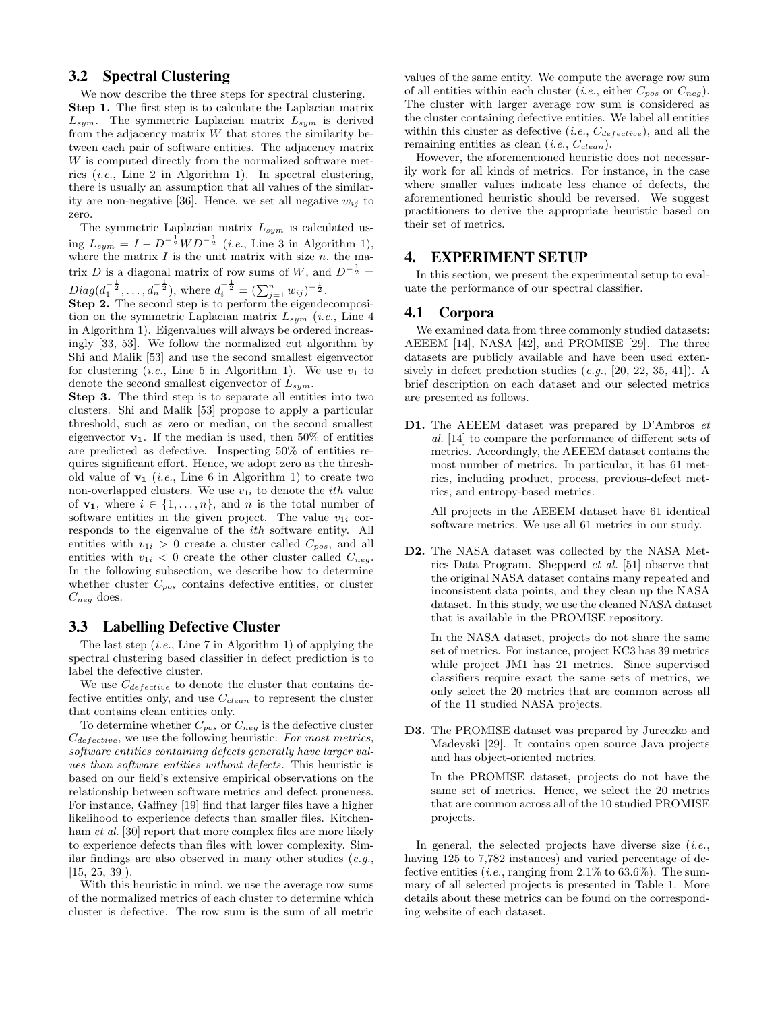# 3.2 Spectral Clustering

We now describe the three steps for spectral clustering. Step 1. The first step is to calculate the Laplacian matrix  $L_{sym}$ . The symmetric Laplacian matrix  $L_{sym}$  is derived from the adjacency matrix  $W$  that stores the similarity between each pair of software entities. The adjacency matrix W is computed directly from the normalized software metrics (i.e., Line 2 in Algorithm 1). In spectral clustering, there is usually an assumption that all values of the similarity are non-negative [36]. Hence, we set all negative  $w_{ij}$  to

zero. The symmetric Laplacian matrix  $L_{sym}$  is calculated using  $L_{sym} = I - D^{-\frac{1}{2}}WD^{-\frac{1}{2}}$  (*i.e.*, Line 3 in Algorithm 1), where the matrix  $I$  is the unit matrix with size  $n$ , the matrix D is a diagonal matrix of row sums of W, and  $D^{-\frac{1}{2}} =$  $Diag\left(\frac{1}{1^2},\ldots,\frac{1}{n^2}\right),$  where  $d_i^{-\frac{1}{2}} = \left(\sum_{j=1}^n w_{ij}\right)^{-\frac{1}{2}}$ .

Step 2. The second step is to perform the eigendecomposition on the symmetric Laplacian matrix  $L_{sym}$  (i.e., Line 4 in Algorithm 1). Eigenvalues will always be ordered increasingly [33, 53]. We follow the normalized cut algorithm by Shi and Malik [53] and use the second smallest eigenvector for clustering (*i.e.*, Line 5 in Algorithm 1). We use  $v_1$  to denote the second smallest eigenvector of  $L_{sym}$ .

Step 3. The third step is to separate all entities into two clusters. Shi and Malik [53] propose to apply a particular threshold, such as zero or median, on the second smallest eigenvector  $v_1$ . If the median is used, then 50% of entities are predicted as defective. Inspecting 50% of entities requires significant effort. Hence, we adopt zero as the threshold value of  $v_1$  (*i.e.*, Line 6 in Algorithm 1) to create two non-overlapped clusters. We use  $v_{1i}$  to denote the *ith* value of  $v_1$ , where  $i \in \{1, ..., n\}$ , and n is the total number of software entities in the given project. The value  $v_{1i}$  corresponds to the eigenvalue of the ith software entity. All entities with  $v_{1i} > 0$  create a cluster called  $C_{pos}$ , and all entities with  $v_{1i} < 0$  create the other cluster called  $C_{neq}$ . In the following subsection, we describe how to determine whether cluster  $C_{pos}$  contains defective entities, or cluster  $C_{neq}$  does.

## 3.3 Labelling Defective Cluster

The last step  $(i.e., Line 7 in Algorithm 1)$  of applying the spectral clustering based classifier in defect prediction is to label the defective cluster.

We use  $C_{defective}$  to denote the cluster that contains defective entities only, and use  $C_{clean}$  to represent the cluster that contains clean entities only.

To determine whether  $C_{pos}$  or  $C_{neg}$  is the defective cluster  $C_{defective}$  we use the following heuristic: For most metrics, software entities containing defects generally have larger values than software entities without defects. This heuristic is based on our field's extensive empirical observations on the relationship between software metrics and defect proneness. For instance, Gaffney [19] find that larger files have a higher likelihood to experience defects than smaller files. Kitchenham *et al.* [30] report that more complex files are more likely to experience defects than files with lower complexity. Similar findings are also observed in many other studies (e.g.,  $[15, 25, 39]$ .

With this heuristic in mind, we use the average row sums of the normalized metrics of each cluster to determine which cluster is defective. The row sum is the sum of all metric

values of the same entity. We compute the average row sum of all entities within each cluster (i.e., either  $C_{pos}$  or  $C_{neg}$ ). The cluster with larger average row sum is considered as the cluster containing defective entities. We label all entities within this cluster as defective (i.e.,  $C_{defective}$ ), and all the remaining entities as clean (*i.e.*,  $C_{clean}$ ).

However, the aforementioned heuristic does not necessarily work for all kinds of metrics. For instance, in the case where smaller values indicate less chance of defects, the aforementioned heuristic should be reversed. We suggest practitioners to derive the appropriate heuristic based on their set of metrics.

## 4. EXPERIMENT SETUP

In this section, we present the experimental setup to evaluate the performance of our spectral classifier.

## 4.1 Corpora

We examined data from three commonly studied datasets: AEEEM [14], NASA [42], and PROMISE [29]. The three datasets are publicly available and have been used extensively in defect prediction studies  $(e.g., [20, 22, 35, 41])$ . A brief description on each dataset and our selected metrics are presented as follows.

D1. The AEEEM dataset was prepared by D'Ambros et al. [14] to compare the performance of different sets of metrics. Accordingly, the AEEEM dataset contains the most number of metrics. In particular, it has 61 metrics, including product, process, previous-defect metrics, and entropy-based metrics.

All projects in the AEEEM dataset have 61 identical software metrics. We use all 61 metrics in our study.

D2. The NASA dataset was collected by the NASA Metrics Data Program. Shepperd et al. [51] observe that the original NASA dataset contains many repeated and inconsistent data points, and they clean up the NASA dataset. In this study, we use the cleaned NASA dataset that is available in the PROMISE repository.

In the NASA dataset, projects do not share the same set of metrics. For instance, project KC3 has 39 metrics while project JM1 has 21 metrics. Since supervised classifiers require exact the same sets of metrics, we only select the 20 metrics that are common across all of the 11 studied NASA projects.

D3. The PROMISE dataset was prepared by Jureczko and Madeyski [29]. It contains open source Java projects and has object-oriented metrics.

In the PROMISE dataset, projects do not have the same set of metrics. Hence, we select the 20 metrics that are common across all of the 10 studied PROMISE projects.

In general, the selected projects have diverse size  $(i.e.,$ having 125 to 7,782 instances) and varied percentage of defective entities (*i.e.*, ranging from  $2.1\%$  to  $63.6\%$ ). The summary of all selected projects is presented in Table 1. More details about these metrics can be found on the corresponding website of each dataset.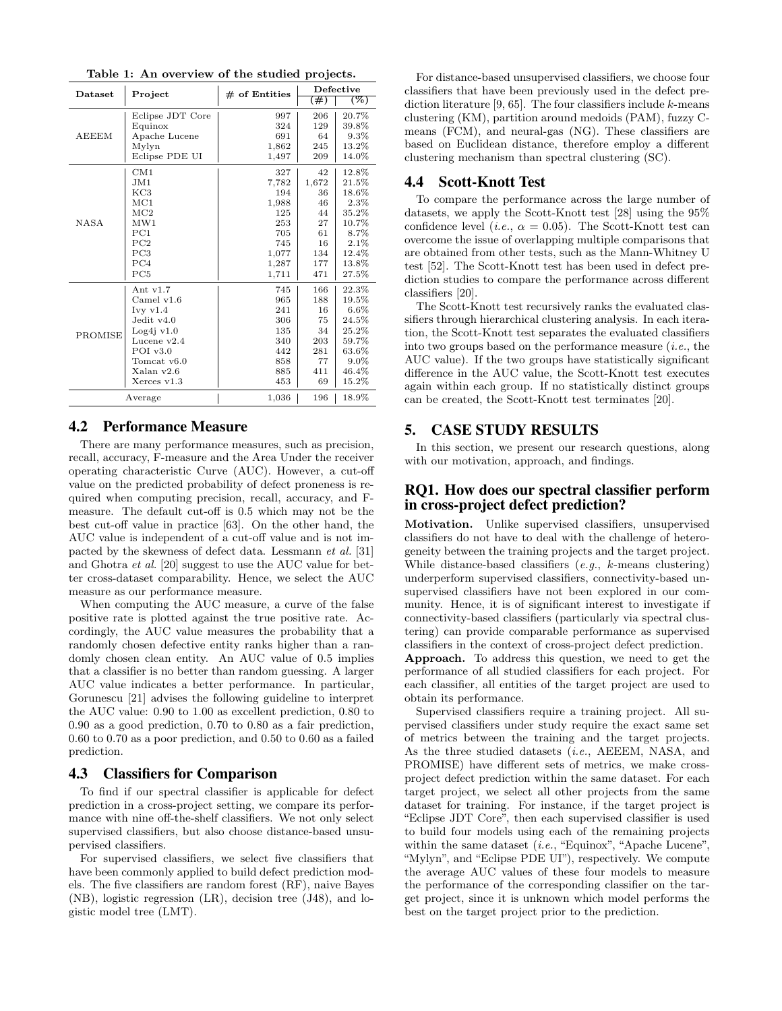|  |  |  | Table 1: An overview of the studied projects. |  |  |  |  |
|--|--|--|-----------------------------------------------|--|--|--|--|
|--|--|--|-----------------------------------------------|--|--|--|--|

| <b>Dataset</b> | Project           | $#$ of Entities | Defective |          |  |  |
|----------------|-------------------|-----------------|-----------|----------|--|--|
|                |                   |                 | (#)       | $(\%)$   |  |  |
|                | Eclipse JDT Core  | 997             | 206       | 20.7%    |  |  |
|                | Equinox           | 324             | 129       | $39.8\%$ |  |  |
| <b>AEEEM</b>   | Apache Lucene     | 691             | 64        | 9.3%     |  |  |
|                | Mylyn             | 1,862           | 245       | 13.2%    |  |  |
|                | Eclipse PDE UI    | 1,497           | 209       | 14.0%    |  |  |
|                | CM1               | 327             | 42        | 12.8%    |  |  |
|                | JM1               | 7,782           | 1,672     | 21.5%    |  |  |
|                | $_{\rm KC3}$      | 194             | 36        | 18.6%    |  |  |
|                | MC1               | 1,988           | 46        | 2.3%     |  |  |
|                | MC2               | 125             | 44        | 35.2%    |  |  |
| <b>NASA</b>    | WW1               | 253             | 27        | 10.7%    |  |  |
|                | PC1               | 705             | 61        | 8.7%     |  |  |
|                | PC2               | 745             | 16        | 2.1%     |  |  |
|                | PC <sub>3</sub>   | 1,077           | 134       | 12.4%    |  |  |
|                | PC4               | 1,287           | 177       | 13.8%    |  |  |
|                | PC <sub>5</sub>   | 1,711           | 471       | $27.5\%$ |  |  |
|                | Ant $v1.7$        | 745             | 166       | 22.3%    |  |  |
|                | Camel $v1.6$      | 965             | 188       | 19.5%    |  |  |
|                | $Ivv$ $v1.4$      | 241             | 16        | $6.6\%$  |  |  |
|                | Jedit $v4.0$      | 306             | 75        | 24.5%    |  |  |
| <b>PROMISE</b> | Log4 $j$ v1.0     | 135             | 34        | 25.2%    |  |  |
|                | Lucene $v2.4$     | 340             | 203       | 59.7%    |  |  |
|                | POI $v3.0$        | 442             | 281       | 63.6%    |  |  |
|                | Tomcat v6.0       | 858             | 77        | $9.0\%$  |  |  |
|                | Xalan v2.6        | 885             | 411       | 46.4%    |  |  |
|                | $X$ erces v $1.3$ | 453             | 69        | 15.2%    |  |  |
|                | Average           | 1,036           | 196       | 18.9%    |  |  |

## 4.2 Performance Measure

There are many performance measures, such as precision, recall, accuracy, F-measure and the Area Under the receiver operating characteristic Curve (AUC). However, a cut-off value on the predicted probability of defect proneness is required when computing precision, recall, accuracy, and Fmeasure. The default cut-off is 0.5 which may not be the best cut-off value in practice [63]. On the other hand, the AUC value is independent of a cut-off value and is not impacted by the skewness of defect data. Lessmann et al. [31] and Ghotra et al. [20] suggest to use the AUC value for better cross-dataset comparability. Hence, we select the AUC measure as our performance measure.

When computing the AUC measure, a curve of the false positive rate is plotted against the true positive rate. Accordingly, the AUC value measures the probability that a randomly chosen defective entity ranks higher than a randomly chosen clean entity. An AUC value of 0.5 implies that a classifier is no better than random guessing. A larger AUC value indicates a better performance. In particular, Gorunescu [21] advises the following guideline to interpret the AUC value: 0.90 to 1.00 as excellent prediction, 0.80 to 0.90 as a good prediction, 0.70 to 0.80 as a fair prediction, 0.60 to 0.70 as a poor prediction, and 0.50 to 0.60 as a failed prediction.

#### 4.3 Classifiers for Comparison

To find if our spectral classifier is applicable for defect prediction in a cross-project setting, we compare its performance with nine off-the-shelf classifiers. We not only select supervised classifiers, but also choose distance-based unsupervised classifiers.

For supervised classifiers, we select five classifiers that have been commonly applied to build defect prediction models. The five classifiers are random forest (RF), naive Bayes (NB), logistic regression (LR), decision tree (J48), and logistic model tree (LMT).

For distance-based unsupervised classifiers, we choose four classifiers that have been previously used in the defect prediction literature  $[9, 65]$ . The four classifiers include k-means clustering (KM), partition around medoids (PAM), fuzzy Cmeans (FCM), and neural-gas (NG). These classifiers are based on Euclidean distance, therefore employ a different clustering mechanism than spectral clustering (SC).

# 4.4 Scott-Knott Test

To compare the performance across the large number of datasets, we apply the Scott-Knott test [28] using the 95% confidence level (*i.e.*,  $\alpha = 0.05$ ). The Scott-Knott test can overcome the issue of overlapping multiple comparisons that are obtained from other tests, such as the Mann-Whitney U test [52]. The Scott-Knott test has been used in defect prediction studies to compare the performance across different classifiers [20].

The Scott-Knott test recursively ranks the evaluated classifiers through hierarchical clustering analysis. In each iteration, the Scott-Knott test separates the evaluated classifiers into two groups based on the performance measure  $(i.e.,$  the AUC value). If the two groups have statistically significant difference in the AUC value, the Scott-Knott test executes again within each group. If no statistically distinct groups can be created, the Scott-Knott test terminates [20].

# 5. CASE STUDY RESULTS

In this section, we present our research questions, along with our motivation, approach, and findings.

# RQ1. How does our spectral classifier perform in cross-project defect prediction?

Motivation. Unlike supervised classifiers, unsupervised classifiers do not have to deal with the challenge of heterogeneity between the training projects and the target project. While distance-based classifiers  $(e.g., k-means$  clustering) underperform supervised classifiers, connectivity-based unsupervised classifiers have not been explored in our community. Hence, it is of significant interest to investigate if connectivity-based classifiers (particularly via spectral clustering) can provide comparable performance as supervised classifiers in the context of cross-project defect prediction.

Approach. To address this question, we need to get the performance of all studied classifiers for each project. For each classifier, all entities of the target project are used to obtain its performance.

Supervised classifiers require a training project. All supervised classifiers under study require the exact same set of metrics between the training and the target projects. As the three studied datasets (i.e., AEEEM, NASA, and PROMISE) have different sets of metrics, we make crossproject defect prediction within the same dataset. For each target project, we select all other projects from the same dataset for training. For instance, if the target project is "Eclipse JDT Core", then each supervised classifier is used to build four models using each of the remaining projects within the same dataset *(i.e.*, "Equinox", "Apache Lucene", "Mylyn", and "Eclipse PDE UI"), respectively. We compute the average AUC values of these four models to measure the performance of the corresponding classifier on the target project, since it is unknown which model performs the best on the target project prior to the prediction.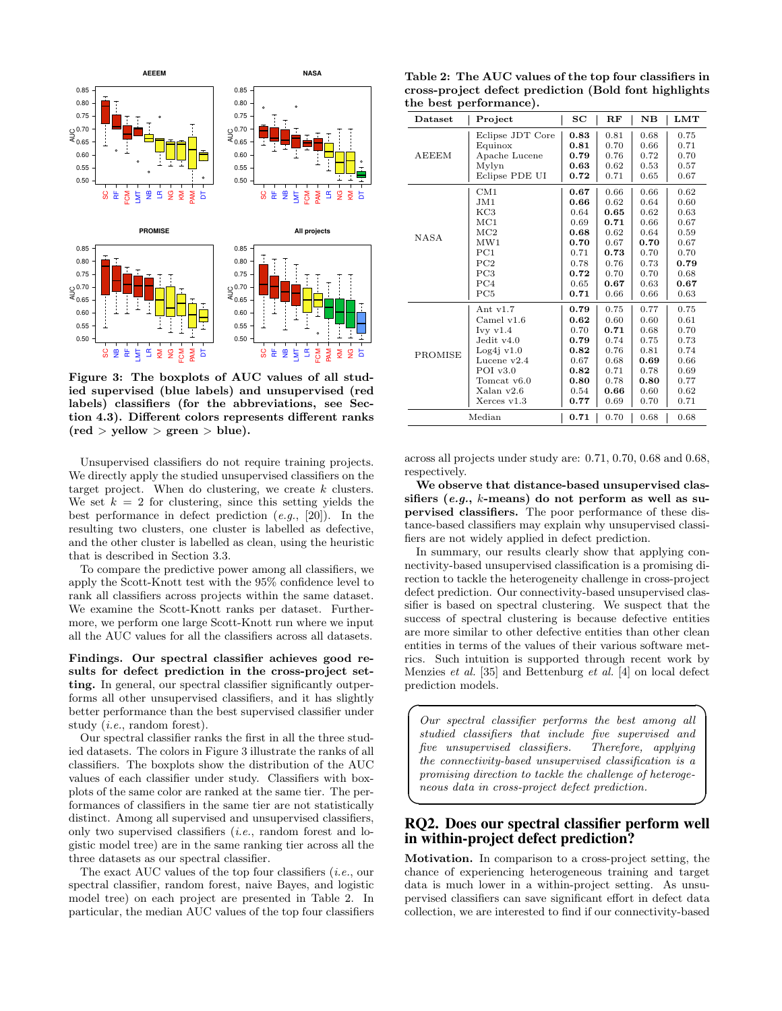

Figure 3: The boxplots of AUC values of all studied supervised (blue labels) and unsupervised (red labels) classifiers (for the abbreviations, see Section 4.3). Different colors represents different ranks  $(\text{red} > \text{yellow} > \text{green} > \text{blue}).$ 

Unsupervised classifiers do not require training projects. We directly apply the studied unsupervised classifiers on the target project. When do clustering, we create  $k$  clusters. We set  $k = 2$  for clustering, since this setting yields the best performance in defect prediction  $(e.g., [20])$ . In the resulting two clusters, one cluster is labelled as defective, and the other cluster is labelled as clean, using the heuristic that is described in Section 3.3.

To compare the predictive power among all classifiers, we apply the Scott-Knott test with the 95% confidence level to rank all classifiers across projects within the same dataset. We examine the Scott-Knott ranks per dataset. Furthermore, we perform one large Scott-Knott run where we input all the AUC values for all the classifiers across all datasets.

Findings. Our spectral classifier achieves good results for defect prediction in the cross-project setting. In general, our spectral classifier significantly outperforms all other unsupervised classifiers, and it has slightly better performance than the best supervised classifier under study (i.e., random forest).

Our spectral classifier ranks the first in all the three studied datasets. The colors in Figure 3 illustrate the ranks of all classifiers. The boxplots show the distribution of the AUC values of each classifier under study. Classifiers with boxplots of the same color are ranked at the same tier. The performances of classifiers in the same tier are not statistically distinct. Among all supervised and unsupervised classifiers, only two supervised classifiers (i.e., random forest and logistic model tree) are in the same ranking tier across all the three datasets as our spectral classifier.

The exact AUC values of the top four classifiers (i.e., our spectral classifier, random forest, naive Bayes, and logistic model tree) on each project are presented in Table 2. In particular, the median AUC values of the top four classifiers

Table 2: The AUC values of the top four classifiers in cross-project defect prediction (Bold font highlights the best performance).

| Dataset        | Project           | SC   | $_{\rm RF}$ | $_{\rm NB}$ | LMT  |
|----------------|-------------------|------|-------------|-------------|------|
|                | Eclipse JDT Core  | 0.83 | 0.81        | 0.68        | 0.75 |
|                | Equinox           | 0.81 | 0.70        | 0.66        | 0.71 |
| <b>AEEEM</b>   | Apache Lucene     | 0.79 | 0.76        | 0.72        | 0.70 |
|                | Mylyn             | 0.63 | 0.62        | 0.53        | 0.57 |
|                | Eclipse PDE UI    | 0.72 | 0.71        | 0.65        | 0.67 |
|                | CM1               | 0.67 | 0.66        | 0.66        | 0.62 |
|                | JM1               | 0.66 | 0.62        | 0.64        | 0.60 |
|                | $_{\rm KC3}$      | 0.64 | 0.65        | 0.62        | 0.63 |
|                | MC1               | 0.69 | 0.71        | 0.66        | 0.67 |
| NASA           | MC2               | 0.68 | 0.62        | 0.64        | 0.59 |
|                | MW1               | 0.70 | 0.67        | 0.70        | 0.67 |
|                | PC1               | 0.71 | 0.73        | 0.70        | 0.70 |
|                | PC2               | 0.78 | 0.76        | 0.73        | 0.79 |
|                | PC3               | 0.72 | 0.70        | 0.70        | 0.68 |
|                | PC4               | 0.65 | 0.67        | 0.63        | 0.67 |
|                | PC5               | 0.71 | 0.66        | 0.66        | 0.63 |
|                | Ant $v1.7$        | 0.79 | 0.75        | 0.77        | 0.75 |
|                | Camel $v1.6$      | 0.62 | 0.60        | 0.60        | 0.61 |
|                | $Ivv$ $v1.4$      | 0.70 | 0.71        | 0.68        | 0.70 |
|                | Jedit v4.0        | 0.79 | 0.74        | 0.75        | 0.73 |
| <b>PROMISE</b> | $Log4i$ v1.0      | 0.82 | 0.76        | 0.81        | 0.74 |
|                | Lucene v2.4       | 0.67 | 0.68        | 0.69        | 0.66 |
|                | POI $v3.0$        | 0.82 | 0.71        | 0.78        | 0.69 |
|                | Tomcat v6.0       | 0.80 | 0.78        | 0.80        | 0.77 |
|                | Xalan v2.6        | 0.54 | 0.66        | 0.60        | 0.62 |
|                | $X$ erces v $1.3$ | 0.77 | 0.69        | 0.70        | 0.71 |
|                | Median            | 0.71 | 0.70        | 0.68        | 0.68 |

across all projects under study are: 0.71, 0.70, 0.68 and 0.68, respectively.

We observe that distance-based unsupervised classifiers (e.g., k-means) do not perform as well as supervised classifiers. The poor performance of these distance-based classifiers may explain why unsupervised classifiers are not widely applied in defect prediction.

In summary, our results clearly show that applying connectivity-based unsupervised classification is a promising direction to tackle the heterogeneity challenge in cross-project defect prediction. Our connectivity-based unsupervised classifier is based on spectral clustering. We suspect that the success of spectral clustering is because defective entities are more similar to other defective entities than other clean entities in terms of the values of their various software metrics. Such intuition is supported through recent work by Menzies et al. [35] and Bettenburg et al. [4] on local defect prediction models.

Our spectral classifier performs the best among all studied classifiers that include five supervised and five unsupervised classifiers. Therefore, applying the connectivity-based unsupervised classification is a promising direction to tackle the challenge of heterogeneous data in cross-project defect prediction.

☞

✌

 $\overline{\phantom{0}}$ 

✍

# RQ2. Does our spectral classifier perform well in within-project defect prediction?

Motivation. In comparison to a cross-project setting, the chance of experiencing heterogeneous training and target data is much lower in a within-project setting. As unsupervised classifiers can save significant effort in defect data collection, we are interested to find if our connectivity-based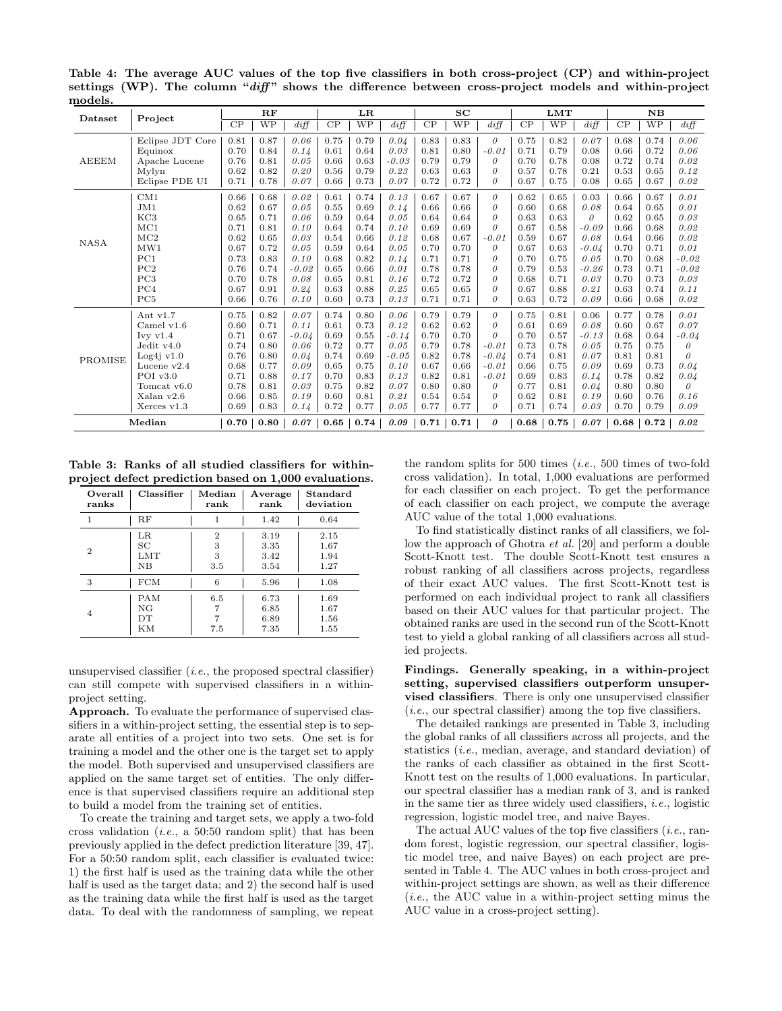Table 4: The average AUC values of the top five classifiers in both cross-project (CP) and within-project settings (WP). The column "diff" shows the difference between cross-project models and within-project models.

| Dataset        | Project          |      | RF   |         |      | LR   |         |      | SC        |          |      | <b>LMT</b> |          |      | NB        |          |
|----------------|------------------|------|------|---------|------|------|---------|------|-----------|----------|------|------------|----------|------|-----------|----------|
|                |                  | CP   | WP   | diff    | CP   | WP   | $di$ ff | CP   | <b>WP</b> | $di$ ff  | CP   | WP         | $di$ ff  | CP   | <b>WP</b> | $di$ ff  |
| <b>AEEEM</b>   | Eclipse JDT Core | 0.81 | 0.87 | 0.06    | 0.75 | 0.79 | 0.04    | 0.83 | 0.83      | $\theta$ | 0.75 | 0.82       | 0.07     | 0.68 | 0.74      | 0.06     |
|                | Equinox          | 0.70 | 0.84 | 0.14    | 0.61 | 0.64 | 0.03    | 0.81 | 0.80      | $-0.01$  | 0.71 | 0.79       | 0.08     | 0.66 | 0.72      | 0.06     |
|                | Apache Lucene    | 0.76 | 0.81 | 0.05    | 0.66 | 0.63 | $-0.03$ | 0.79 | 0.79      | $\theta$ | 0.70 | 0.78       | 0.08     | 0.72 | 0.74      | 0.02     |
|                | Mylyn            | 0.62 | 0.82 | 0.20    | 0.56 | 0.79 | 0.23    | 0.63 | 0.63      | $\theta$ | 0.57 | 0.78       | 0.21     | 0.53 | 0.65      | 0.12     |
|                | Eclipse PDE UI   | 0.71 | 0.78 | 0.07    | 0.66 | 0.73 | 0.07    | 0.72 | 0.72      | $\theta$ | 0.67 | 0.75       | 0.08     | 0.65 | 0.67      | 0.02     |
| <b>NASA</b>    | CM1              | 0.66 | 0.68 | 0.02    | 0.61 | 0.74 | 0.13    | 0.67 | 0.67      | $\theta$ | 0.62 | 0.65       | 0.03     | 0.66 | 0.67      | 0.01     |
|                | JM1              | 0.62 | 0.67 | 0.05    | 0.55 | 0.69 | 0.14    | 0.66 | 0.66      | $\theta$ | 0.60 | 0.68       | 0.08     | 0.64 | 0.65      | 0.01     |
|                | KC3              | 0.65 | 0.71 | 0.06    | 0.59 | 0.64 | 0.05    | 0.64 | 0.64      | $\theta$ | 0.63 | 0.63       | $\theta$ | 0.62 | 0.65      | 0.03     |
|                | MC1              | 0.71 | 0.81 | 0.10    | 0.64 | 0.74 | 0.10    | 0.69 | 0.69      | $\theta$ | 0.67 | 0.58       | $-0.09$  | 0.66 | 0.68      | 0.02     |
|                | MC2              | 0.62 | 0.65 | 0.03    | 0.54 | 0.66 | 0.12    | 0.68 | 0.67      | $-0.01$  | 0.59 | 0.67       | 0.08     | 0.64 | 0.66      | 0.02     |
|                | MW1              | 0.67 | 0.72 | 0.05    | 0.59 | 0.64 | 0.05    | 0.70 | 0.70      | $\theta$ | 0.67 | 0.63       | $-0.04$  | 0.70 | 0.71      | 0.01     |
|                | PC1              | 0.73 | 0.83 | 0.10    | 0.68 | 0.82 | 0.14    | 0.71 | 0.71      | $\theta$ | 0.70 | 0.75       | 0.05     | 0.70 | 0.68      | $-0.02$  |
|                | PC2              | 0.76 | 0.74 | $-0.02$ | 0.65 | 0.66 | 0.01    | 0.78 | 0.78      | $\theta$ | 0.79 | 0.53       | $-0.26$  | 0.73 | 0.71      | $-0.02$  |
|                | PC3              | 0.70 | 0.78 | 0.08    | 0.65 | 0.81 | 0.16    | 0.72 | 0.72      | $\theta$ | 0.68 | 0.71       | 0.03     | 0.70 | 0.73      | 0.03     |
|                | PC4              | 0.67 | 0.91 | 0.24    | 0.63 | 0.88 | 0.25    | 0.65 | 0.65      | $\theta$ | 0.67 | 0.88       | 0.21     | 0.63 | 0.74      | 0.11     |
|                | PC <sub>5</sub>  | 0.66 | 0.76 | 0.10    | 0.60 | 0.73 | 0.13    | 0.71 | 0.71      | $\theta$ | 0.63 | 0.72       | 0.09     | 0.66 | 0.68      | 0.02     |
| <b>PROMISE</b> | Ant v1.7         | 0.75 | 0.82 | 0.07    | 0.74 | 0.80 | 0.06    | 0.79 | 0.79      | $\theta$ | 0.75 | 0.81       | 0.06     | 0.77 | 0.78      | 0.01     |
|                | Camel $v1.6$     | 0.60 | 0.71 | 0.11    | 0.61 | 0.73 | 0.12    | 0.62 | 0.62      | $\theta$ | 0.61 | 0.69       | 0.08     | 0.60 | 0.67      | 0.07     |
|                | Ivv v1.4         | 0.71 | 0.67 | $-0.04$ | 0.69 | 0.55 | $-0.14$ | 0.70 | 0.70      | $\theta$ | 0.70 | 0.57       | $-0.13$  | 0.68 | 0.64      | $-0.04$  |
|                | Jedit $v4.0$     | 0.74 | 0.80 | 0.06    | 0.72 | 0.77 | 0.05    | 0.79 | 0.78      | $-0.01$  | 0.73 | 0.78       | 0.05     | 0.75 | 0.75      | 0        |
|                | Log4 $j$ v1.0    | 0.76 | 0.80 | 0.04    | 0.74 | 0.69 | $-0.05$ | 0.82 | 0.78      | $-0.04$  | 0.74 | 0.81       | 0.07     | 0.81 | 0.81      | $\theta$ |
|                | Lucene $v2.4$    | 0.68 | 0.77 | 0.09    | 0.65 | 0.75 | 0.10    | 0.67 | 0.66      | $-0.01$  | 0.66 | 0.75       | 0.09     | 0.69 | 0.73      | 0.04     |
|                | POI $v3.0$       | 0.71 | 0.88 | 0.17    | 0.70 | 0.83 | 0.13    | 0.82 | 0.81      | $-0.01$  | 0.69 | 0.83       | 0.14     | 0.78 | 0.82      | 0.04     |
|                | Tomcat v6.0      | 0.78 | 0.81 | 0.03    | 0.75 | 0.82 | 0.07    | 0.80 | 0.80      | $\theta$ | 0.77 | 0.81       | 0.04     | 0.80 | 0.80      | $\theta$ |
|                | Xalan v2.6       | 0.66 | 0.85 | 0.19    | 0.60 | 0.81 | 0.21    | 0.54 | 0.54      | $\theta$ | 0.62 | 0.81       | 0.19     | 0.60 | 0.76      | 0.16     |
|                | Xerces $v1.3$    | 0.69 | 0.83 | 0.14    | 0.72 | 0.77 | 0.05    | 0.77 | 0.77      | $\theta$ | 0.71 | 0.74       | 0.03     | 0.70 | 0.79      | 0.09     |
|                | Median           | 0.70 | 0.80 | 0.07    | 0.65 | 0.74 | 0.09    | 0.71 | 0.71      | 0        | 0.68 | 0.75       | 0.07     | 0.68 | 0.72      | 0.02     |

Table 3: Ranks of all studied classifiers for withinproject defect prediction based on 1,000 evaluations.

| Overall<br>ranks | Classifier                        | Median<br>rank                  | Average<br>rank              | Standard<br>deviation        |
|------------------|-----------------------------------|---------------------------------|------------------------------|------------------------------|
|                  | RF                                | 1                               | 1.42                         | 0.64                         |
| $\overline{2}$   | $_{LR}$<br>SС<br><b>LMT</b><br>NB | $\overline{2}$<br>3<br>3<br>3.5 | 3.19<br>3.35<br>3.42<br>3.54 | 2.15<br>1.67<br>1.94<br>1.27 |
| 3                | FCM                               | 6                               | 5.96                         | 1.08                         |
| $\overline{4}$   | <b>PAM</b><br>NG<br>DT<br>ΚM      | 6.5<br>7.5                      | 6.73<br>6.85<br>6.89<br>7.35 | 1.69<br>1.67<br>1.56<br>1.55 |

unsupervised classifier  $(i.e., the proposed spectral classifier)$ can still compete with supervised classifiers in a withinproject setting.

Approach. To evaluate the performance of supervised classifiers in a within-project setting, the essential step is to separate all entities of a project into two sets. One set is for training a model and the other one is the target set to apply the model. Both supervised and unsupervised classifiers are applied on the same target set of entities. The only difference is that supervised classifiers require an additional step to build a model from the training set of entities.

To create the training and target sets, we apply a two-fold cross validation (*i.e.*, a  $50:50$  random split) that has been previously applied in the defect prediction literature [39, 47]. For a 50:50 random split, each classifier is evaluated twice: 1) the first half is used as the training data while the other half is used as the target data; and 2) the second half is used as the training data while the first half is used as the target data. To deal with the randomness of sampling, we repeat the random splits for 500 times (i.e., 500 times of two-fold cross validation). In total, 1,000 evaluations are performed for each classifier on each project. To get the performance of each classifier on each project, we compute the average AUC value of the total 1,000 evaluations.

To find statistically distinct ranks of all classifiers, we follow the approach of Ghotra et al. [20] and perform a double Scott-Knott test. The double Scott-Knott test ensures a robust ranking of all classifiers across projects, regardless of their exact AUC values. The first Scott-Knott test is performed on each individual project to rank all classifiers based on their AUC values for that particular project. The obtained ranks are used in the second run of the Scott-Knott test to yield a global ranking of all classifiers across all studied projects.

Findings. Generally speaking, in a within-project setting, supervised classifiers outperform unsupervised classifiers. There is only one unsupervised classifier (i.e., our spectral classifier) among the top five classifiers.

The detailed rankings are presented in Table 3, including the global ranks of all classifiers across all projects, and the statistics (i.e., median, average, and standard deviation) of the ranks of each classifier as obtained in the first Scott-Knott test on the results of 1,000 evaluations. In particular, our spectral classifier has a median rank of 3, and is ranked in the same tier as three widely used classifiers, i.e., logistic regression, logistic model tree, and naive Bayes.

The actual AUC values of the top five classifiers  $(i.e.,$  random forest, logistic regression, our spectral classifier, logistic model tree, and naive Bayes) on each project are presented in Table 4. The AUC values in both cross-project and within-project settings are shown, as well as their difference (i.e., the AUC value in a within-project setting minus the AUC value in a cross-project setting).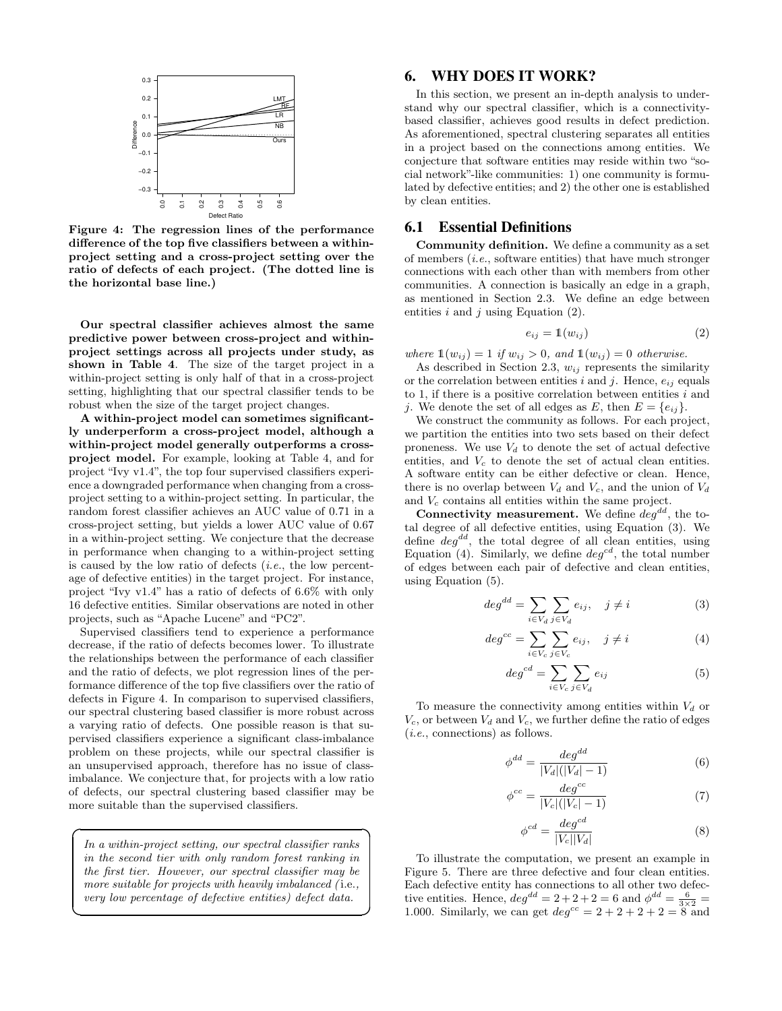

Figure 4: The regression lines of the performance difference of the top five classifiers between a withinproject setting and a cross-project setting over the ratio of defects of each project. (The dotted line is the horizontal base line.)

Our spectral classifier achieves almost the same predictive power between cross-project and withinproject settings across all projects under study, as shown in Table 4. The size of the target project in a within-project setting is only half of that in a cross-project setting, highlighting that our spectral classifier tends to be robust when the size of the target project changes.

A within-project model can sometimes significantly underperform a cross-project model, although a within-project model generally outperforms a crossproject model. For example, looking at Table 4, and for project "Ivy v1.4", the top four supervised classifiers experience a downgraded performance when changing from a crossproject setting to a within-project setting. In particular, the random forest classifier achieves an AUC value of 0.71 in a cross-project setting, but yields a lower AUC value of 0.67 in a within-project setting. We conjecture that the decrease in performance when changing to a within-project setting is caused by the low ratio of defects (i.e., the low percentage of defective entities) in the target project. For instance, project "Ivy v1.4" has a ratio of defects of 6.6% with only 16 defective entities. Similar observations are noted in other projects, such as "Apache Lucene" and "PC2".

Supervised classifiers tend to experience a performance decrease, if the ratio of defects becomes lower. To illustrate the relationships between the performance of each classifier and the ratio of defects, we plot regression lines of the performance difference of the top five classifiers over the ratio of defects in Figure 4. In comparison to supervised classifiers, our spectral clustering based classifier is more robust across a varying ratio of defects. One possible reason is that supervised classifiers experience a significant class-imbalance problem on these projects, while our spectral classifier is an unsupervised approach, therefore has no issue of classimbalance. We conjecture that, for projects with a low ratio of defects, our spectral clustering based classifier may be more suitable than the supervised classifiers.

In a within-project setting, our spectral classifier ranks in the second tier with only random forest ranking in the first tier. However, our spectral classifier may be more suitable for projects with heavily imbalanced (i.e., very low percentage of defective entities) defect data.

✟

✠

☛

 $\searrow$ 

# 6. WHY DOES IT WORK?

In this section, we present an in-depth analysis to understand why our spectral classifier, which is a connectivitybased classifier, achieves good results in defect prediction. As aforementioned, spectral clustering separates all entities in a project based on the connections among entities. We conjecture that software entities may reside within two "social network"-like communities: 1) one community is formulated by defective entities; and 2) the other one is established by clean entities.

## 6.1 Essential Definitions

Community definition. We define a community as a set of members (i.e., software entities) that have much stronger connections with each other than with members from other communities. A connection is basically an edge in a graph, as mentioned in Section 2.3. We define an edge between entities  $i$  and  $j$  using Equation (2).

$$
e_{ij} = \mathbb{1}(w_{ij})\tag{2}
$$

where  $\mathbb{1}(w_{ij}) = 1$  if  $w_{ij} > 0$ , and  $\mathbb{1}(w_{ij}) = 0$  otherwise.

As described in Section 2.3,  $w_{ij}$  represents the similarity or the correlation between entities i and j. Hence,  $e_{ij}$  equals to 1, if there is a positive correlation between entities  $i$  and j. We denote the set of all edges as E, then  $E = \{e_{ij}\}.$ 

We construct the community as follows. For each project, we partition the entities into two sets based on their defect proneness. We use  $V_d$  to denote the set of actual defective entities, and  $V_c$  to denote the set of actual clean entities. A software entity can be either defective or clean. Hence, there is no overlap between  $V_d$  and  $V_c$ , and the union of  $V_d$ and  $V_c$  contains all entities within the same project.

Connectivity measurement. We define  $deg^{dd}$ , the total degree of all defective entities, using Equation (3). We define  $deg^{dd}$ , the total degree of all clean entities, using Equation (4). Similarly, we define  $deg^{cd}$ , the total number of edges between each pair of defective and clean entities, using Equation (5).

$$
deg^{dd} = \sum_{i \in V_d} \sum_{j \in V_d} e_{ij}, \quad j \neq i
$$
 (3)

$$
deg^{cc} = \sum_{i \in V_c} \sum_{j \in V_c} e_{ij}, \quad j \neq i
$$
 (4)

$$
deg^{cd} = \sum_{i \in V_c} \sum_{j \in V_d} e_{ij}
$$
 (5)

To measure the connectivity among entities within  $V_d$  or  $V_c$ , or between  $V_d$  and  $V_c$ , we further define the ratio of edges (i.e., connections) as follows.

$$
\phi^{dd} = \frac{deg^{dd}}{|V_d|(|V_d|-1)}\tag{6}
$$

$$
\phi^{cc} = \frac{deg^{cc}}{|V_c|(|V_c| - 1)}\tag{7}
$$

$$
\phi^{cd} = \frac{deg^{cd}}{|V_c||V_d|} \tag{8}
$$

To illustrate the computation, we present an example in Figure 5. There are three defective and four clean entities. Each defective entity has connections to all other two defective entities. Hence,  $deg^{dd} = 2 + 2 + 2 = 6$  and  $\phi^{dd} = \frac{6}{3 \times 2} =$ 1.000. Similarly, we can get  $deg^{cc} = 2 + 2 + 2 + 2 = 8$  and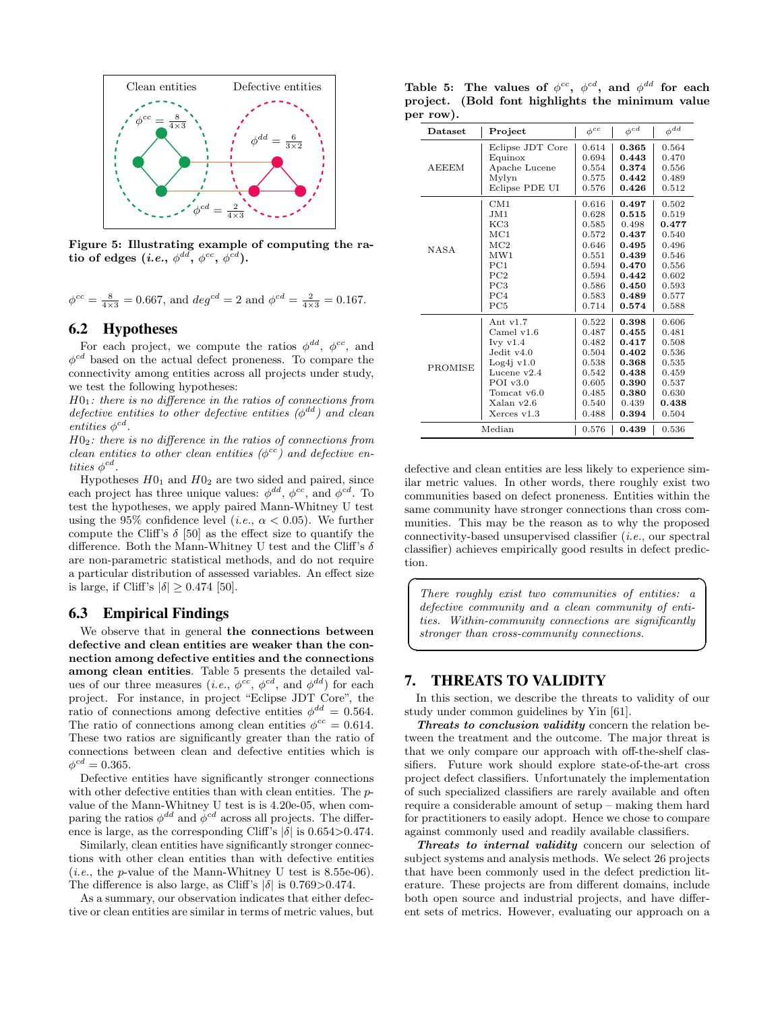

Figure 5: Illustrating example of computing the ra- ${\rm tio\,\, of\,\, edges}\,\, (i.e.,\, \phi^{dd},\, \phi^{cc},\, \phi^{cd}).$ 

$$
\phi^{cc} = \frac{8}{4 \times 3} = 0.667
$$
, and  $deg^{cd} = 2$  and  $\phi^{cd} = \frac{2}{4 \times 3} = 0.167$ .

## 6.2 Hypotheses

For each project, we compute the ratios  $\phi^{dd}$ ,  $\phi^{cc}$ , and  $\phi^{cd}$  based on the actual defect proneness. To compare the connectivity among entities across all projects under study, we test the following hypotheses:

 $H0<sub>1</sub>$ : there is no difference in the ratios of connections from defective entities to other defective entities  $(\phi^{dd})$  and clean entities  $\phi^{cd}$ .

 $H0<sub>2</sub>$ : there is no difference in the ratios of connections from clean entities to other clean entities  $(\phi^{cc})$  and defective entities  $\phi^{cd}$ .

Hypotheses  $H0_1$  and  $H0_2$  are two sided and paired, since each project has three unique values:  $\phi^{dd}$ ,  $\phi^{cc}$ , and  $\phi^{cd}$ . To test the hypotheses, we apply paired Mann-Whitney U test using the 95% confidence level (*i.e.*,  $\alpha$  < 0.05). We further compute the Cliff's  $\delta$  [50] as the effect size to quantify the difference. Both the Mann-Whitney U test and the Cliff's  $\delta$ are non-parametric statistical methods, and do not require a particular distribution of assessed variables. An effect size is large, if Cliff's  $|\delta| \geq 0.474$  [50].

#### 6.3 Empirical Findings

We observe that in general the connections between defective and clean entities are weaker than the connection among defective entities and the connections among clean entities. Table 5 presents the detailed values of our three measures (*i.e.*,  $\phi^{cc}$ ,  $\phi^{cd}$ , and  $\phi^{dd}$ ) for each project. For instance, in project "Eclipse JDT Core", the ratio of connections among defective entities  $\phi^{dd} = 0.564$ . The ratio of connections among clean entities  $\phi^{cc} = 0.614$ . These two ratios are significantly greater than the ratio of connections between clean and defective entities which is  $\phi^{cd} = 0.365.$ 

Defective entities have significantly stronger connections with other defective entities than with clean entities. The  $p$ value of the Mann-Whitney U test is is 4.20e-05, when comparing the ratios  $\phi^{dd}$  and  $\phi^{cd}$  across all projects. The difference is large, as the corresponding Cliff's  $|\delta|$  is 0.654>0.474.

Similarly, clean entities have significantly stronger connections with other clean entities than with defective entities (*i.e.*, the *p*-value of the Mann-Whitney U test is  $8.55e-06$ ). The difference is also large, as Cliff's  $|\delta|$  is 0.769>0.474.

As a summary, our observation indicates that either defective or clean entities are similar in terms of metric values, but

Table 5: The values of  $\phi^{cc}$ ,  $\phi^{cd}$ , and  $\phi^{dd}$  for each project. (Bold font highlights the minimum value per row).

| Dataset        | Project          | $\phi^{cc}$ | $\phi^{cd}$ | $\phi^{dd}$ |
|----------------|------------------|-------------|-------------|-------------|
|                | Eclipse JDT Core | 0.614       | 0.365       | 0.564       |
|                | Equinox          | 0.694       | 0.443       | 0.470       |
| <b>AEEEM</b>   | Apache Lucene    | 0.554       | 0.374       | 0.556       |
|                | Mylyn            | 0.575       | 0.442       | 0.489       |
|                | Eclipse PDE UI   | 0.576       | 0.426       | 0.512       |
|                | CM1              | 0.616       | 0.497       | 0.502       |
|                | JM1.             | 0.628       | 0.515       | 0.519       |
|                | $_{\rm KC3}$     | 0.585       | 0.498       | 0.477       |
|                | MC1              | 0.572       | 0.437       | 0.540       |
| <b>NASA</b>    | MC2              | 0.646       | 0.495       | 0.496       |
|                | MW1              | 0.551       | 0.439       | 0.546       |
|                | PC1              | 0.594       | 0.470       | 0.556       |
|                | PC2              | 0.594       | 0.442       | 0.602       |
|                | PC <sub>3</sub>  | 0.586       | 0.450       | 0.593       |
|                | PC <sub>4</sub>  | 0.583       | 0.489       | 0.577       |
|                | PC5              | 0.714       | 0.574       | 0.588       |
|                | Ant $v1.7$       | 0.522       | 0.398       | 0.606       |
|                | Camel $v1.6$     | 0.487       | 0.455       | 0.481       |
|                | $Ivv$ $v1.4$     | 0.482       | 0.417       | 0.508       |
|                | Jedit v4.0       | 0.504       | 0.402       | 0.536       |
| <b>PROMISE</b> | Log4i v1.0       | 0.538       | 0.368       | 0.535       |
|                | Lucene v2.4      | 0.542       | 0.438       | 0.459       |
|                | POI $v3.0$       | 0.605       | 0.390       | 0.537       |
|                | Tomcat v6.0      | 0.485       | 0.380       | 0.630       |
|                | Xalan v2.6       | 0.540       | 0.439       | 0.438       |
|                | Xerces $v1.3$    | 0.488       | 0.394       | 0.504       |
|                | Median           | 0.576       | 0.439       | 0.536       |

defective and clean entities are less likely to experience similar metric values. In other words, there roughly exist two communities based on defect proneness. Entities within the same community have stronger connections than cross communities. This may be the reason as to why the proposed connectivity-based unsupervised classifier (i.e., our spectral classifier) achieves empirically good results in defect prediction.

There roughly exist two communities of entities: defective community and a clean community of entities. Within-community connections are significantly stronger than cross-community connections.

✟

✠

# 7. THREATS TO VALIDITY

☛

 $\overline{\phantom{0}}$ 

In this section, we describe the threats to validity of our study under common guidelines by Yin [61].

Threats to conclusion validity concern the relation between the treatment and the outcome. The major threat is that we only compare our approach with off-the-shelf classifiers. Future work should explore state-of-the-art cross project defect classifiers. Unfortunately the implementation of such specialized classifiers are rarely available and often require a considerable amount of setup – making them hard for practitioners to easily adopt. Hence we chose to compare against commonly used and readily available classifiers.

Threats to internal validity concern our selection of subject systems and analysis methods. We select 26 projects that have been commonly used in the defect prediction literature. These projects are from different domains, include both open source and industrial projects, and have different sets of metrics. However, evaluating our approach on a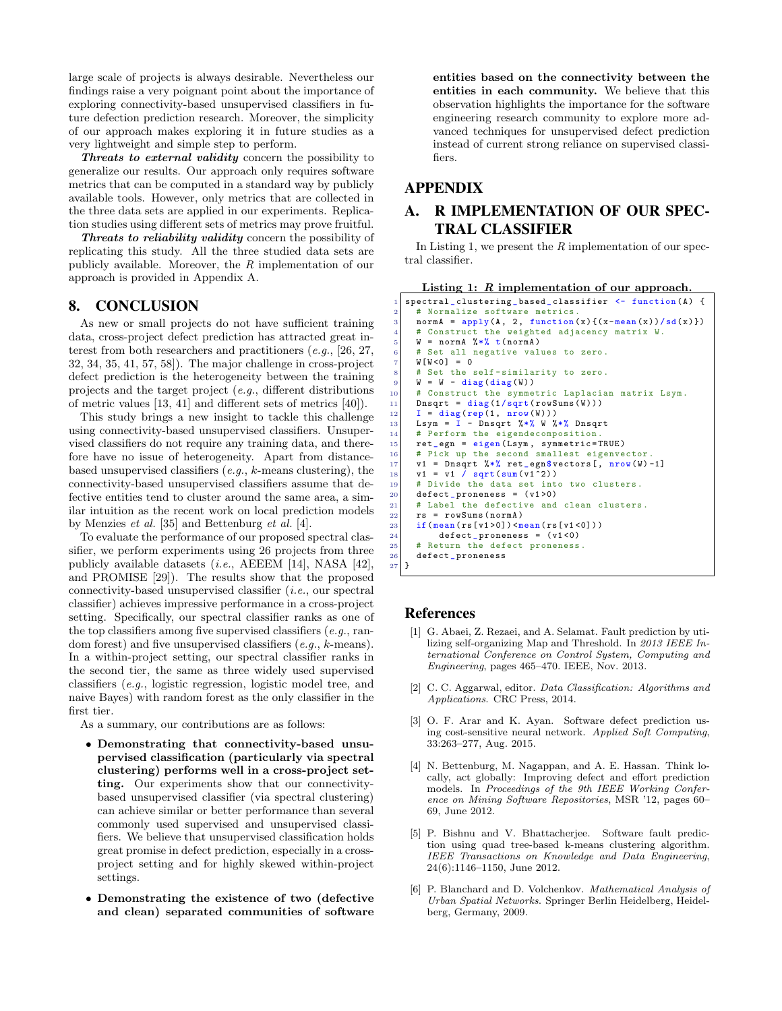large scale of projects is always desirable. Nevertheless our findings raise a very poignant point about the importance of exploring connectivity-based unsupervised classifiers in future defection prediction research. Moreover, the simplicity of our approach makes exploring it in future studies as a very lightweight and simple step to perform.

Threats to external validity concern the possibility to generalize our results. Our approach only requires software metrics that can be computed in a standard way by publicly available tools. However, only metrics that are collected in the three data sets are applied in our experiments. Replication studies using different sets of metrics may prove fruitful.

Threats to reliability validity concern the possibility of replicating this study. All the three studied data sets are publicly available. Moreover, the  $R$  implementation of our approach is provided in Appendix A.

# 8. CONCLUSION

As new or small projects do not have sufficient training data, cross-project defect prediction has attracted great interest from both researchers and practitioners (e.g., [26, 27, 32, 34, 35, 41, 57, 58]). The major challenge in cross-project defect prediction is the heterogeneity between the training projects and the target project (e.g., different distributions of metric values [13, 41] and different sets of metrics [40]).

This study brings a new insight to tackle this challenge using connectivity-based unsupervised classifiers. Unsupervised classifiers do not require any training data, and therefore have no issue of heterogeneity. Apart from distancebased unsupervised classifiers (e.g., k-means clustering), the connectivity-based unsupervised classifiers assume that defective entities tend to cluster around the same area, a similar intuition as the recent work on local prediction models by Menzies et al. [35] and Bettenburg et al. [4].

To evaluate the performance of our proposed spectral classifier, we perform experiments using 26 projects from three publicly available datasets (i.e., AEEEM [14], NASA [42], and PROMISE [29]). The results show that the proposed connectivity-based unsupervised classifier (i.e., our spectral classifier) achieves impressive performance in a cross-project setting. Specifically, our spectral classifier ranks as one of the top classifiers among five supervised classifiers (e.g., random forest) and five unsupervised classifiers  $(e.g., k-means)$ . In a within-project setting, our spectral classifier ranks in the second tier, the same as three widely used supervised classifiers (e.g., logistic regression, logistic model tree, and naive Bayes) with random forest as the only classifier in the first tier.

As a summary, our contributions are as follows:

- Demonstrating that connectivity-based unsupervised classification (particularly via spectral clustering) performs well in a cross-project setting. Our experiments show that our connectivitybased unsupervised classifier (via spectral clustering) can achieve similar or better performance than several commonly used supervised and unsupervised classifiers. We believe that unsupervised classification holds great promise in defect prediction, especially in a crossproject setting and for highly skewed within-project settings.
- Demonstrating the existence of two (defective and clean) separated communities of software

entities based on the connectivity between the entities in each community. We believe that this observation highlights the importance for the software engineering research community to explore more advanced techniques for unsupervised defect prediction instead of current strong reliance on supervised classifiers.

# APPENDIX

# A. R IMPLEMENTATION OF OUR SPEC-TRAL CLASSIFIER

In Listing 1, we present the  $R$  implementation of our spectral classifier.

| Listing 1: $R$ implementation of our approach. |  |
|------------------------------------------------|--|
|------------------------------------------------|--|

```
spectral_clustering_based_classifier <- function (A) {
        # Normalize software metrics.
        normal = apply(A, 2, function(x)({x-mean(x)})/sd(x)})4 # Construct the weighted adjacency matrix W.<br>5 W = normA %*% t(normA)
        # Set all negative values to zero.
        W [W < 0] = 0# Set the self-similarity to zero.
        W = W - diag(diag(W))10 # Construct the symmetric Laplacian matrix Lsym.
11 Dnsqrt = diag(1/\sqrt{\sqrt{1 + \left(\frac{1}{\sqrt{1 + \left(\frac{1}{\sqrt{1 + \left(\frac{1}{\sqrt{1 + \left(\frac{1}{\sqrt{1 + \left(\frac{1}{\sqrt{1 + \left(\frac{1}{\sqrt{1 + \left(\frac{1}{\sqrt{1 + \left(\frac{1}{\sqrt{1 + \left(\frac{1}{\sqrt{1 + \left(\frac{1}{\sqrt{1 + \left(1 + \left(\frac{1}{\sqrt{1 + \left(1 + \left(1 + \left(1 + \left(1 + \frac{1}{\sqrt{1 + \left(1 + \left(1 + \left(1 + \frac{1}{\sqrt{1 + \left(12 \vert \quad I = \text{diag}(\text{rep}(1, \text{ nrow}(W)))13 Lsym = I - Dnsqrt \frac{13}{18} W \frac{14\%}{18} Dnsqrt
        # Perform the eigendecomposition
15 ret_egn = eigen (Lsym, symmetric=TRUE)
        # Pick up the second smallest eigenvector.
17 v1 = Dnsqrt \frac{2*}{2} ret_egn$vectors [, nrow (W)-1]
18 v1 = v1 / \sqrt{sqrt(x1^2)}19 # Divide the data set into two clusters.
20 defect_proneness = (v1>0)21 # Label the defective and clean clusters.
\begin{array}{c|c} 22 & \mathbf{rs} = \mathbf{rows}\ \text{if (mean (rs [v1>0])} & \mathbf{sm} \end{array}if(\text{mean}(rs[v1>0]) < \text{mean}(rs[v1<0]))24 defect_proneness = (v1<0)<br>25 # Return the defect proneness
        # Return the defect proneness.
\begin{array}{c|c} 26 & \texttt{defect}_{\texttt{\_}propeness} \\ 27 & \texttt{\_}p \end{array}\mathcal{F}
```
## References

- [1] G. Abaei, Z. Rezaei, and A. Selamat. Fault prediction by utilizing self-organizing Map and Threshold. In *2013 IEEE International Conference on Control System, Computing and Engineering*, pages 465–470. IEEE, Nov. 2013.
- [2] C. C. Aggarwal, editor. *Data Classification: Algorithms and Applications*. CRC Press, 2014.
- [3] O. F. Arar and K. Ayan. Software defect prediction using cost-sensitive neural network. *Applied Soft Computing*, 33:263–277, Aug. 2015.
- [4] N. Bettenburg, M. Nagappan, and A. E. Hassan. Think locally, act globally: Improving defect and effort prediction models. In *Proceedings of the 9th IEEE Working Conference on Mining Software Repositories*, MSR '12, pages 60– 69, June 2012.
- [5] P. Bishnu and V. Bhattacherjee. Software fault prediction using quad tree-based k-means clustering algorithm. *IEEE Transactions on Knowledge and Data Engineering*, 24(6):1146–1150, June 2012.
- [6] P. Blanchard and D. Volchenkov. *Mathematical Analysis of Urban Spatial Networks*. Springer Berlin Heidelberg, Heidelberg, Germany, 2009.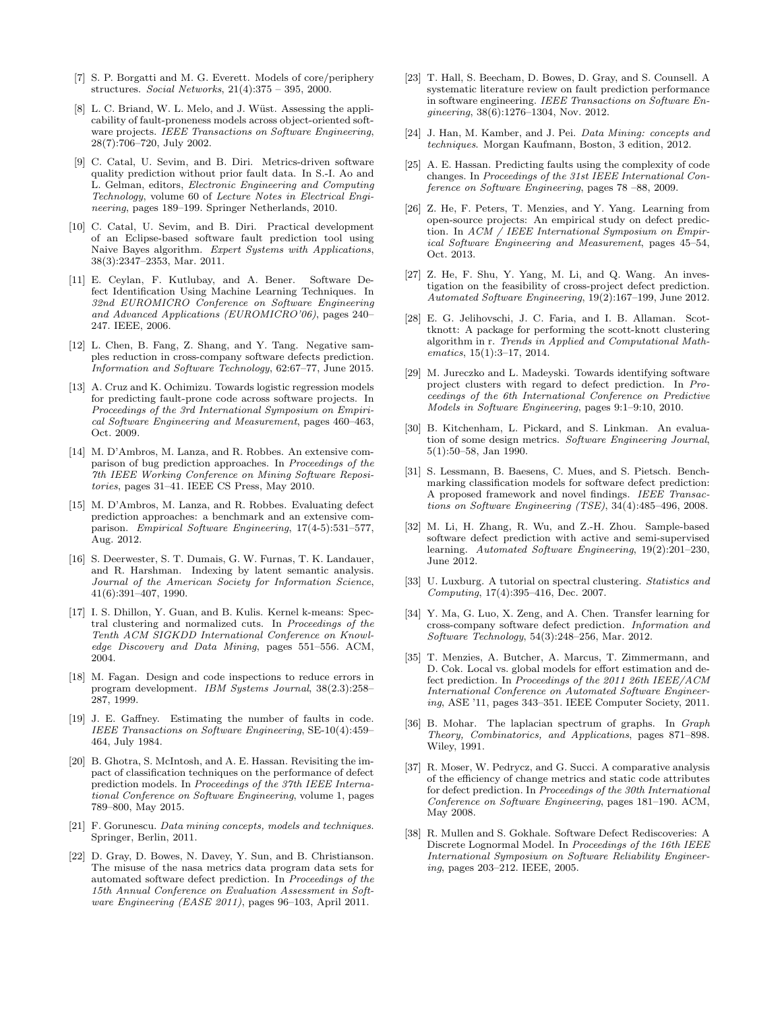- [7] S. P. Borgatti and M. G. Everett. Models of core/periphery structures. *Social Networks*, 21(4):375 – 395, 2000.
- [8] L. C. Briand, W. L. Melo, and J. Wüst. Assessing the applicability of fault-proneness models across object-oriented software projects. *IEEE Transactions on Software Engineering*, 28(7):706–720, July 2002.
- [9] C. Catal, U. Sevim, and B. Diri. Metrics-driven software quality prediction without prior fault data. In S.-I. Ao and L. Gelman, editors, *Electronic Engineering and Computing Technology*, volume 60 of *Lecture Notes in Electrical Engineering*, pages 189–199. Springer Netherlands, 2010.
- [10] C. Catal, U. Sevim, and B. Diri. Practical development of an Eclipse-based software fault prediction tool using Naive Bayes algorithm. *Expert Systems with Applications*, 38(3):2347–2353, Mar. 2011.
- [11] E. Ceylan, F. Kutlubay, and A. Bener. Software Defect Identification Using Machine Learning Techniques. In *32nd EUROMICRO Conference on Software Engineering and Advanced Applications (EUROMICRO'06)*, pages 240– 247. IEEE, 2006.
- [12] L. Chen, B. Fang, Z. Shang, and Y. Tang. Negative samples reduction in cross-company software defects prediction. *Information and Software Technology*, 62:67–77, June 2015.
- [13] A. Cruz and K. Ochimizu. Towards logistic regression models for predicting fault-prone code across software projects. In *Proceedings of the 3rd International Symposium on Empirical Software Engineering and Measurement*, pages 460–463, Oct. 2009.
- [14] M. D'Ambros, M. Lanza, and R. Robbes. An extensive comparison of bug prediction approaches. In *Proceedings of the 7th IEEE Working Conference on Mining Software Repositories*, pages 31–41. IEEE CS Press, May 2010.
- [15] M. D'Ambros, M. Lanza, and R. Robbes. Evaluating defect prediction approaches: a benchmark and an extensive comparison. *Empirical Software Engineering*, 17(4-5):531–577, Aug. 2012.
- [16] S. Deerwester, S. T. Dumais, G. W. Furnas, T. K. Landauer, and R. Harshman. Indexing by latent semantic analysis. *Journal of the American Society for Information Science*, 41(6):391–407, 1990.
- [17] I. S. Dhillon, Y. Guan, and B. Kulis. Kernel k-means: Spectral clustering and normalized cuts. In *Proceedings of the Tenth ACM SIGKDD International Conference on Knowledge Discovery and Data Mining*, pages 551–556. ACM, 2004.
- [18] M. Fagan. Design and code inspections to reduce errors in program development. *IBM Systems Journal*, 38(2.3):258– 287, 1999.
- [19] J. E. Gaffney. Estimating the number of faults in code. *IEEE Transactions on Software Engineering*, SE-10(4):459– 464, July 1984.
- [20] B. Ghotra, S. McIntosh, and A. E. Hassan. Revisiting the impact of classification techniques on the performance of defect prediction models. In *Proceedings of the 37th IEEE International Conference on Software Engineering*, volume 1, pages 789–800, May 2015.
- [21] F. Gorunescu. *Data mining concepts, models and techniques*. Springer, Berlin, 2011.
- [22] D. Gray, D. Bowes, N. Davey, Y. Sun, and B. Christianson. The misuse of the nasa metrics data program data sets for automated software defect prediction. In *Proceedings of the 15th Annual Conference on Evaluation Assessment in Software Engineering (EASE 2011)*, pages 96–103, April 2011.
- [23] T. Hall, S. Beecham, D. Bowes, D. Gray, and S. Counsell. A systematic literature review on fault prediction performance in software engineering. *IEEE Transactions on Software Engineering*, 38(6):1276–1304, Nov. 2012.
- [24] J. Han, M. Kamber, and J. Pei. *Data Mining: concepts and techniques*. Morgan Kaufmann, Boston, 3 edition, 2012.
- [25] A. E. Hassan. Predicting faults using the complexity of code changes. In *Proceedings of the 31st IEEE International Conference on Software Engineering*, pages 78 –88, 2009.
- [26] Z. He, F. Peters, T. Menzies, and Y. Yang. Learning from open-source projects: An empirical study on defect prediction. In *ACM / IEEE International Symposium on Empirical Software Engineering and Measurement*, pages 45–54, Oct. 2013.
- [27] Z. He, F. Shu, Y. Yang, M. Li, and Q. Wang. An investigation on the feasibility of cross-project defect prediction. *Automated Software Engineering*, 19(2):167–199, June 2012.
- [28] E. G. Jelihovschi, J. C. Faria, and I. B. Allaman. Scottknott: A package for performing the scott-knott clustering algorithm in r. *Trends in Applied and Computational Mathematics*, 15(1):3–17, 2014.
- [29] M. Jureczko and L. Madeyski. Towards identifying software project clusters with regard to defect prediction. In *Proceedings of the 6th International Conference on Predictive Models in Software Engineering*, pages 9:1–9:10, 2010.
- [30] B. Kitchenham, L. Pickard, and S. Linkman. An evaluation of some design metrics. *Software Engineering Journal*, 5(1):50–58, Jan 1990.
- [31] S. Lessmann, B. Baesens, C. Mues, and S. Pietsch. Benchmarking classification models for software defect prediction: A proposed framework and novel findings. *IEEE Transactions on Software Engineering (TSE)*, 34(4):485–496, 2008.
- [32] M. Li, H. Zhang, R. Wu, and Z.-H. Zhou. Sample-based software defect prediction with active and semi-supervised learning. *Automated Software Engineering*, 19(2):201–230, June 2012.
- [33] U. Luxburg. A tutorial on spectral clustering. *Statistics and Computing*, 17(4):395–416, Dec. 2007.
- [34] Y. Ma, G. Luo, X. Zeng, and A. Chen. Transfer learning for cross-company software defect prediction. *Information and Software Technology*, 54(3):248–256, Mar. 2012.
- [35] T. Menzies, A. Butcher, A. Marcus, T. Zimmermann, and D. Cok. Local vs. global models for effort estimation and defect prediction. In *Proceedings of the 2011 26th IEEE/ACM International Conference on Automated Software Engineering*, ASE '11, pages 343–351. IEEE Computer Society, 2011.
- [36] B. Mohar. The laplacian spectrum of graphs. In *Graph Theory, Combinatorics, and Applications*, pages 871–898. Wiley, 1991.
- [37] R. Moser, W. Pedrycz, and G. Succi. A comparative analysis of the efficiency of change metrics and static code attributes for defect prediction. In *Proceedings of the 30th International Conference on Software Engineering*, pages 181–190. ACM, May 2008.
- [38] R. Mullen and S. Gokhale. Software Defect Rediscoveries: A Discrete Lognormal Model. In *Proceedings of the 16th IEEE International Symposium on Software Reliability Engineering*, pages 203–212. IEEE, 2005.